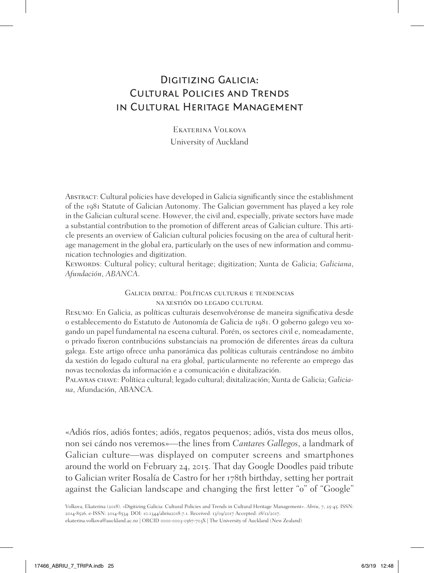## Digitizing Galicia: Cultural Policies and Trends in Cultural Heritage Management

Ekaterina Volkova University of Auckland

Abstract: Cultural policies have developed in Galicia significantly since the establishment of the 1981 Statute of Galician Autonomy. The Galician government has played a key role in the Galician cultural scene. However, the civil and, especially, private sectors have made a substantial contribution to the promotion of different areas of Galician culture. This article presents an overview of Galician cultural policies focusing on the area of cultural heritage management in the global era, particularly on the uses of new information and communication technologies and digitization.

KEYWORDS: Cultural policy; cultural heritage; digitization; Xunta de Galicia; Galiciana, *Afundación*, *ABANCA*.

> Galicia dixital: Políticas culturais e tendencias na xestión do legado cultural

Resumo: En Galicia, as políticas culturais desenvolvéronse de maneira significativa desde o establecemento do Estatuto de Autonomía de Galicia de 1981. O goberno galego veu xogando un papel fundamental na escena cultural. Porén, os sectores civil e, nomeadamente, o privado fixeron contribucións substanciais na promoción de diferentes áreas da cultura galega. Este artigo ofrece unha panorámica das políticas culturais centrándose no ámbito da xestión do legado cultural na era global, particularmente no referente ao emprego das novas tecnoloxías da información e a comunicación e dixitalización.

Palavras chave: Política cultural; legado cultural; dixitalización; Xunta de Galicia; *Galiciana*, Afundación, ABANCA.

«Adiós ríos, adiós fontes; adiós, regatos pequenos; adiós, vista dos meus ollos, non sei cándo nos veremos»—the lines from *Cantares Gallegos*, a landmark of Galician culture—was displayed on computer screens and smartphones around the world on February 24, 2015. That day Google Doodles paid tribute to Galician writer Rosalía de Castro for her 178th birthday, setting her portrait against the Galician landscape and changing the first letter "o" of "Google"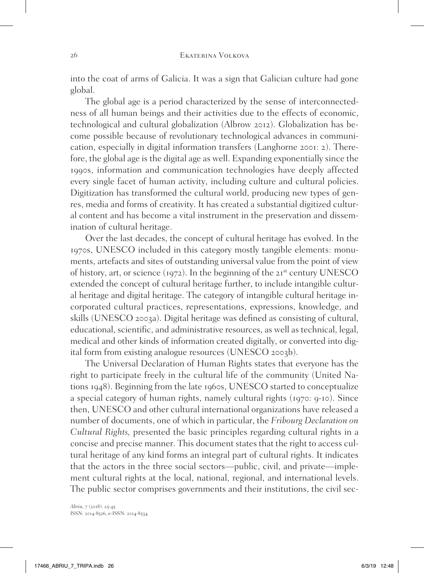into the coat of arms of Galicia. It was a sign that Galician culture had gone global.

The global age is a period characterized by the sense of interconnectedness of all human beings and their activities due to the effects of economic, technological and cultural globalization (Albrow 2012). Globalization has become possible because of revolutionary technological advances in communication, especially in digital information transfers (Langhorne 2001: 2). Therefore, the global age is the digital age as well. Expanding exponentially since the 1990s, information and communication technologies have deeply affected every single facet of human activity, including culture and cultural policies. Digitization has transformed the cultural world, producing new types of genres, media and forms of creativity. It has created a substantial digitized cultural content and has become a vital instrument in the preservation and dissemination of cultural heritage.

Over the last decades, the concept of cultural heritage has evolved. In the 1970s, UNESCO included in this category mostly tangible elements: monuments, artefacts and sites of outstanding universal value from the point of view of history, art, or science (1972). In the beginning of the 21<sup>st</sup> century UNESCO extended the concept of cultural heritage further, to include intangible cultural heritage and digital heritage. The category of intangible cultural heritage incorporated cultural practices, representations, expressions, knowledge, and skills (UNESCO 2003a). Digital heritage was defined as consisting of cultural, educational, scientific, and administrative resources, as well as technical, legal, medical and other kinds of information created digitally, or converted into digital form from existing analogue resources (UNESCO 2003b).

The Universal Declaration of Human Rights states that everyone has the right to participate freely in the cultural life of the community (United Nations 1948). Beginning from the late 1960s, UNESCO started to conceptualize a special category of human rights, namely cultural rights (1970: 9-10). Since then, UNESCO and other cultural international organizations have released a number of documents, one of which in particular, the *Fribourg Declaration on Cultural Rights,* presented the basic principles regarding cultural rights in a concise and precise manner. This document states that the right to access cultural heritage of any kind forms an integral part of cultural rights. It indicates that the actors in the three social sectors—public, civil, and private—implement cultural rights at the local, national, regional, and international levels. The public sector comprises governments and their institutions, the civil sec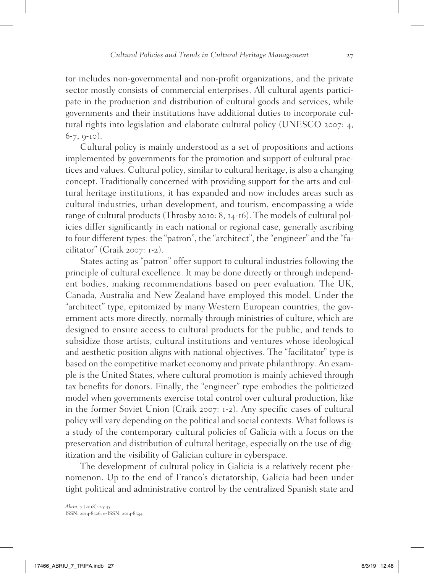tor includes non-governmental and non-profit organizations, and the private sector mostly consists of commercial enterprises. All cultural agents participate in the production and distribution of cultural goods and services, while governments and their institutions have additional duties to incorporate cultural rights into legislation and elaborate cultural policy (UNESCO 2007: 4, 6-7, 9-10).

Cultural policy is mainly understood as a set of propositions and actions implemented by governments for the promotion and support of cultural practices and values. Cultural policy, similar to cultural heritage, is also a changing concept. Traditionally concerned with providing support for the arts and cultural heritage institutions, it has expanded and now includes areas such as cultural industries, urban development, and tourism, encompassing a wide range of cultural products (Throsby 2010: 8, 14-16). The models of cultural policies differ significantly in each national or regional case, generally ascribing to four different types: the "patron", the "architect", the "engineer" and the "facilitator" (Craik 2007: 1-2).

States acting as "patron" offer support to cultural industries following the principle of cultural excellence. It may be done directly or through independent bodies, making recommendations based on peer evaluation. The UK, Canada, Australia and New Zealand have employed this model. Under the "architect" type, epitomized by many Western European countries, the government acts more directly, normally through ministries of culture, which are designed to ensure access to cultural products for the public, and tends to subsidize those artists, cultural institutions and ventures whose ideological and aesthetic position aligns with national objectives. The "facilitator" type is based on the competitive market economy and private philanthropy. An example is the United States, where cultural promotion is mainly achieved through tax benefits for donors. Finally, the "engineer" type embodies the politicized model when governments exercise total control over cultural production, like in the former Soviet Union (Craik 2007: 1-2). Any specific cases of cultural policy will vary depending on the political and social contexts. What follows is a study of the contemporary cultural policies of Galicia with a focus on the preservation and distribution of cultural heritage, especially on the use of digitization and the visibility of Galician culture in cyberspace.

The development of cultural policy in Galicia is a relatively recent phenomenon. Up to the end of Franco's dictatorship, Galicia had been under tight political and administrative control by the centralized Spanish state and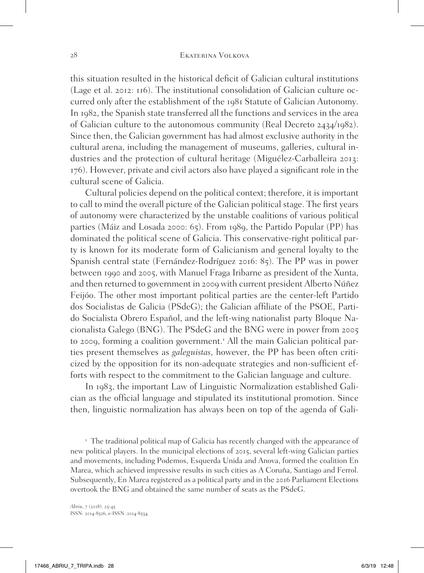this situation resulted in the historical deficit of Galician cultural institutions (Lage et al. 2012: 116). The institutional consolidation of Galician culture occurred only after the establishment of the 1981 Statute of Galician Autonomy. In 1982, the Spanish state transferred all the functions and services in the area of Galician culture to the autonomous community (Real Decreto 2434/1982). Since then, the Galician government has had almost exclusive authority in the cultural arena, including the management of museums, galleries, cultural industries and the protection of cultural heritage (Miguélez-Carballeira 2013: 176). However, private and civil actors also have played a significant role in the cultural scene of Galicia.

Cultural policies depend on the political context; therefore, it is important to call to mind the overall picture of the Galician political stage. The first years of autonomy were characterized by the unstable coalitions of various political parties (Máiz and Losada 2000: 65). From 1989, the Partido Popular (PP) has dominated the political scene of Galicia. This conservative-right political party is known for its moderate form of Galicianism and general loyalty to the Spanish central state (Fernández-Rodríguez 2016: 85). The PP was in power between 1990 and 2005, with Manuel Fraga Iribarne as president of the Xunta, and then returned to government in 2009 with current president Alberto Núñez Feijóo. The other most important political parties are the center-left Partido dos Socialistas de Galicia (PSdeG); the Galician affiliate of the PSOE, Partido Socialista Obrero Español, and the left-wing nationalist party Bloque Nacionalista Galego (BNG). The PSdeG and the BNG were in power from 2005 to 2009, forming a coalition government.<sup>1</sup> All the main Galician political parties present themselves as *galeguistas*, however, the PP has been often criticized by the opposition for its non-adequate strategies and non-sufficient efforts with respect to the commitment to the Galician language and culture.

In 1983, the important Law of Linguistic Normalization established Galician as the official language and stipulated its institutional promotion. Since then, linguistic normalization has always been on top of the agenda of Gali-

<sup>1</sup> The traditional political map of Galicia has recently changed with the appearance of new political players. In the municipal elections of 2015, several left-wing Galician parties and movements, including Podemos, Esquerda Unida and Anova, formed the coalition En Marea, which achieved impressive results in such cities as A Coruña, Santiago and Ferrol. Subsequently, En Marea registered as a political party and in the 2016 Parliament Elections overtook the BNG and obtained the same number of seats as the PSdeG.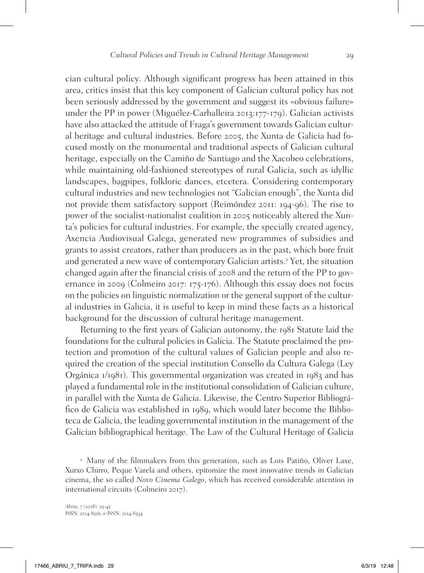cian cultural policy. Although significant progress has been attained in this area, critics insist that this key component of Galician cultural policy has not been seriously addressed by the government and suggest its «obvious failure» under the PP in power (Miguélez-Carballeira 2013:177-179). Galician activists have also attacked the attitude of Fraga's government towards Galician cultural heritage and cultural industries. Before 2005, the Xunta de Galicia had focused mostly on the monumental and traditional aspects of Galician cultural heritage, especially on the Camiño de Santiago and the Xacobeo celebrations, while maintaining old-fashioned stereotypes of rural Galicia, such as idyllic landscapes, bagpipes, folkloric dances, etcetera. Considering contemporary cultural industries and new technologies not "Galician enough", the Xunta did not provide them satisfactory support (Reimóndez 2011: 194-96). The rise to power of the socialist-nationalist coalition in 2005 noticeably altered the Xunta's policies for cultural industries. For example, the specially created agency, Axencia Audiovisual Galega, generated new programmes of subsidies and grants to assist creators, rather than producers as in the past, which bore fruit and generated a new wave of contemporary Galician artists.<sup>2</sup> Yet, the situation changed again after the financial crisis of 2008 and the return of the PP to governance in 2009 (Colmeiro 2017: 175-176). Although this essay does not focus on the policies on linguistic normalization or the general support of the cultural industries in Galicia, it is useful to keep in mind these facts as a historical background for the discussion of cultural heritage management.

Returning to the first years of Galician autonomy, the 1981 Statute laid the foundations for the cultural policies in Galicia. The Statute proclaimed the protection and promotion of the cultural values of Galician people and also required the creation of the special institution Consello da Cultura Galega (Ley Orgánica 1/1981). This governmental organization was created in 1983 and has played a fundamental role in the institutional consolidation of Galician culture, in parallel with the Xunta de Galicia. Likewise, the Centro Superior Bibliográfico de Galicia was established in 1989, which would later become the Biblioteca de Galicia, the leading governmental institution in the management of the Galician bibliographical heritage. The Law of the Cultural Heritage of Galicia

<sup>2</sup> Many of the filmmakers from this generation, such as Lois Patiño, Oliver Laxe, Xurxo Chirro, Peque Varela and others, epitomize the most innovative trends in Galician cinema, the so called *Novo Cinema Galego*, which has received considerable attention in international circuits (Colmeiro 2017).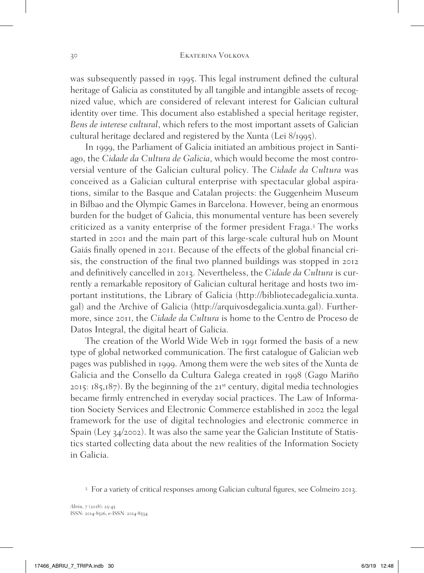was subsequently passed in 1995. This legal instrument defined the cultural heritage of Galicia as constituted by all tangible and intangible assets of recognized value, which are considered of relevant interest for Galician cultural identity over time. This document also established a special heritage register, *Bens de interese cultural*, which refers to the most important assets of Galician cultural heritage declared and registered by the Xunta (Lei 8/1995).

In 1999, the Parliament of Galicia initiated an ambitious project in Santiago, the *Cidade da Cultura de Galicia*, which would become the most controversial venture of the Galician cultural policy. The *Cidade da Cultura* was conceived as a Galician cultural enterprise with spectacular global aspirations, similar to the Basque and Catalan projects: the Guggenheim Museum in Bilbao and the Olympic Games in Barcelona. However, being an enormous burden for the budget of Galicia, this monumental venture has been severely criticized as a vanity enterprise of the former president Fraga.<sup>3</sup> The works started in 2001 and the main part of this large-scale cultural hub on Mount Gaiás finally opened in 2011. Because of the effects of the global financial crisis, the construction of the final two planned buildings was stopped in 2012 and definitively cancelled in 2013. Nevertheless, the *Cidade da Cultura* is currently a remarkable repository of Galician cultural heritage and hosts two important institutions, the Library of Galicia (http://bibliotecadegalicia.xunta. gal) and the Archive of Galicia (http://arquivosdegalicia.xunta.gal). Furthermore, since 2011, the *Cidade da Cultura* is home to the Centro de Proceso de Datos Integral, the digital heart of Galicia.

The creation of the World Wide Web in 1991 formed the basis of a new type of global networked communication. The first catalogue of Galician web pages was published in 1999. Among them were the web sites of the Xunta de Galicia and the Consello da Cultura Galega created in 1998 (Gago Mariño 2015: 185,187). By the beginning of the 21st century, digital media technologies became firmly entrenched in everyday social practices. The Law of Information Society Services and Electronic Commerce established in 2002 the legal framework for the use of digital technologies and electronic commerce in Spain (Ley 34/2002). It was also the same year the Galician Institute of Statistics started collecting data about the new realities of the Information Society in Galicia.

<sup>3</sup> For a variety of critical responses among Galician cultural figures, see Colmeiro 2013.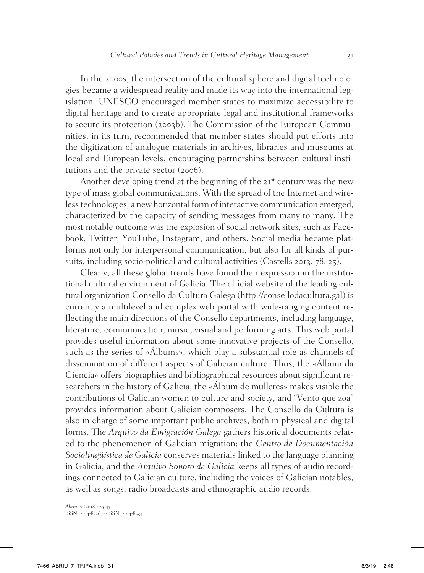In the 2000s, the intersection of the cultural sphere and digital technologies became a widespread reality and made its way into the international legislation. UNESCO encouraged member states to maximize accessibility to digital heritage and to create appropriate legal and institutional frameworks to secure its protection (2003b). The Commission of the European Communities, in its turn, recommended that member states should put efforts into the digitization of analogue materials in archives, libraries and museums at local and European levels, encouraging partnerships between cultural institutions and the private sector (2006).

Another developing trend at the beginning of the 21<sup>st</sup> century was the new type of mass global communications. With the spread of the Internet and wireless technologies, a new horizontal form of interactive communication emerged, characterized by the capacity of sending messages from many to many. The most notable outcome was the explosion of social network sites, such as Facebook, Twitter, YouTube, Instagram, and others. Social media became platforms not only for interpersonal communication, but also for all kinds of pursuits, including socio-political and cultural activities (Castells 2013: 78, 25).

Clearly, all these global trends have found their expression in the institutional cultural environment of Galicia. The official website of the leading cultural organization Consello da Cultura Galega (http://consellodacultura.gal) is currently a multilevel and complex web portal with wide-ranging content reflecting the main directions of the Consello departments, including language, literature, communication, music, visual and performing arts. This web portal provides useful information about some innovative projects of the Consello, such as the series of «Álbums», which play a substantial role as channels of dissemination of different aspects of Galician culture. Thus, the «Álbum da Ciencia» offers biographies and bibliographical resources about significant researchers in the history of Galicia; the «Álbum de mulleres» makes visible the contributions of Galician women to culture and society, and "Vento que zoa" provides information about Galician composers. The Consello da Cultura is also in charge of some important public archives, both in physical and digital forms. The *Arquivo da Emigración Galega* gathers historical documents related to the phenomenon of Galician migration; the *Centro de Documentación Sociolingüística de Galicia* conserves materials linked to the language planning in Galicia, and the *Arquivo Sonoro de Galicia* keeps all types of audio recordings connected to Galician culture, including the voices of Galician notables, as well as songs, radio broadcasts and ethnographic audio records.

*Abriu*, 7 (2018): 25-45 ISSN: 2014-8526, e-ISSN: 2014-8534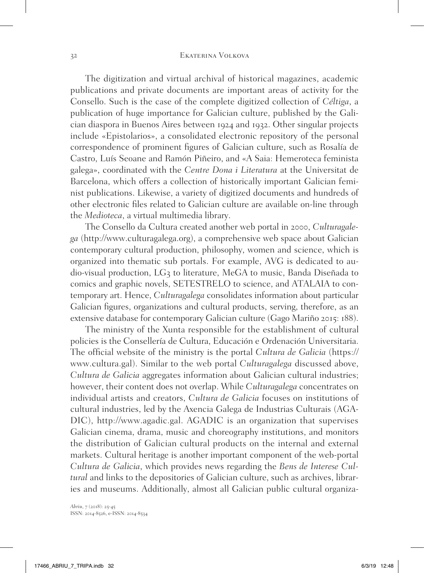## 32 Ekaterina Volkova

The digitization and virtual archival of historical magazines, academic publications and private documents are important areas of activity for the Consello. Such is the case of the complete digitized collection of *Céltiga*, a publication of huge importance for Galician culture, published by the Galician diaspora in Buenos Aires between 1924 and 1932. Other singular projects include «Epistolarios», a consolidated electronic repository of the personal correspondence of prominent figures of Galician culture, such as Rosalía de Castro, Luís Seoane and Ramón Piñeiro, and «A Saia: Hemeroteca feminista galega», coordinated with the *Centre Dona i Literatura* at the Universitat de Barcelona, which offers a collection of historically important Galician feminist publications. Likewise, a variety of digitized documents and hundreds of other electronic files related to Galician culture are available on-line through the *Medioteca*, a virtual multimedia library.

The Consello da Cultura created another web portal in 2000, *Culturagalega* (http://www.culturagalega.org), a comprehensive web space about Galician contemporary cultural production, philosophy, women and science, which is organized into thematic sub portals. For example, AVG is dedicated to audio-visual production, LG3 to literature, MeGA to music, Banda Diseñada to comics and graphic novels, SETESTRELO to science, and ATALAIA to contemporary art. Hence, *Culturagalega* consolidates information about particular Galician figures, organizations and cultural products, serving, therefore, as an extensive database for contemporary Galician culture (Gago Mariño 2015: 188).

The ministry of the Xunta responsible for the establishment of cultural policies is the Consellería de Cultura, Educación e Ordenación Universitaria. The official website of the ministry is the portal *Cultura de Galicia* (https:// www.cultura.gal). Similar to the web portal *Culturagalega* discussed above, *Cultura de Galicia* aggregates information about Galician cultural industries; however, their content does not overlap. While *Culturagalega* concentrates on individual artists and creators, *Cultura de Galicia* focuses on institutions of cultural industries, led by the Axencia Galega de Industrias Culturais (AGA-DIC), http://www.agadic.gal. AGADIC is an organization that supervises Galician cinema, drama, music and choreography institutions, and monitors the distribution of Galician cultural products on the internal and external markets. Cultural heritage is another important component of the web-portal *Cultura de Galicia*, which provides news regarding the *Bens de Interese Cultural* and links to the depositories of Galician culture, such as archives, libraries and museums. Additionally, almost all Galician public cultural organiza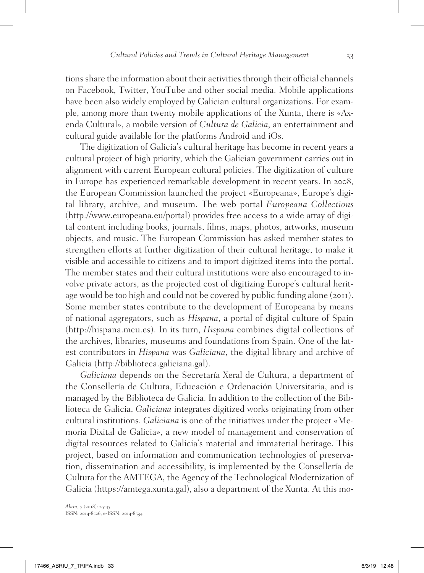tions share the information about their activities through their official channels on Facebook, Twitter, YouTube and other social media. Mobile applications have been also widely employed by Galician cultural organizations. For example, among more than twenty mobile applications of the Xunta, there is «Axenda Cultural», a mobile version of *Cultura de Galicia*, an entertainment and cultural guide available for the platforms Android and iOs.

The digitization of Galicia's cultural heritage has become in recent years a cultural project of high priority, which the Galician government carries out in alignment with current European cultural policies. The digitization of culture in Europe has experienced remarkable development in recent years. In 2008, the European Commission launched the project «Europeana», Europe's digital library, archive, and museum. The web portal *Europeana Collections* (http://www.europeana.eu/portal) provides free access to a wide array of digital content including books, journals, films, maps, photos, artworks, museum objects, and music. The European Commission has asked member states to strengthen efforts at further digitization of their cultural heritage, to make it visible and accessible to citizens and to import digitized items into the portal. The member states and their cultural institutions were also encouraged to involve private actors, as the projected cost of digitizing Europe's cultural heritage would be too high and could not be covered by public funding alone (2011). Some member states contribute to the development of Europeana by means of national aggregators, such as *Hispana*, a portal of digital culture of Spain (http://hispana.mcu.es). In its turn, *Hispana* combines digital collections of the archives, libraries, museums and foundations from Spain. One of the latest contributors in *Hispana* was *Galiciana*, the digital library and archive of Galicia (http://biblioteca.galiciana.gal).

*Galiciana* depends on the Secretaría Xeral de Cultura, a department of the Consellería de Cultura, Educación e Ordenación Universitaria, and is managed by the Biblioteca de Galicia. In addition to the collection of the Biblioteca de Galicia, *Galiciana* integrates digitized works originating from other cultural institutions. *Galiciana* is one of the initiatives under the project «Memoria Dixital de Galicia», a new model of management and conservation of digital resources related to Galicia's material and immaterial heritage. This project, based on information and communication technologies of preservation, dissemination and accessibility, is implemented by the Consellería de Cultura for the AMTEGA, the Agency of the Technological Modernization of Galicia (https://amtega.xunta.gal), also a department of the Xunta. At this mo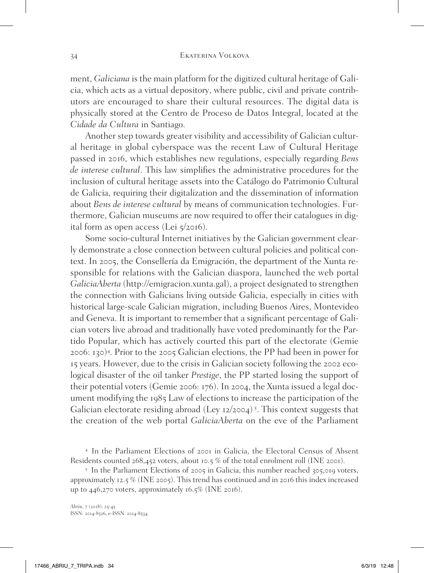ment, *Galiciana* is the main platform for the digitized cultural heritage of Galicia, which acts as a virtual depository, where public, civil and private contributors are encouraged to share their cultural resources. The digital data is physically stored at the Centro de Proceso de Datos Integral, located at the *Cidade da Cultura* in Santiago.

Another step towards greater visibility and accessibility of Galician cultural heritage in global cyberspace was the recent Law of Cultural Heritage passed in 2016, which establishes new regulations, especially regarding *Bens de interese cultural*. This law simplifies the administrative procedures for the inclusion of cultural heritage assets into the Catálogo do Patrimonio Cultural de Galicia, requiring their digitalization and the dissemination of information about *Bens de interese cultural* by means of communication technologies. Furthermore, Galician museums are now required to offer their catalogues in digital form as open access (Lei  $\frac{1}{2}$ 2016).

Some socio-cultural Internet initiatives by the Galician government clearly demonstrate a close connection between cultural policies and political context. In 2005, the Consellería da Emigración, the department of the Xunta responsible for relations with the Galician diaspora, launched the web portal *GaliciaAberta* (http://emigracion.xunta.gal), a project designated to strengthen the connection with Galicians living outside Galicia, especially in cities with historical large-scale Galician migration, including Buenos Aires, Montevideo and Geneva. It is important to remember that a significant percentage of Galician voters live abroad and traditionally have voted predominantly for the Partido Popular, which has actively courted this part of the electorate (Gemie 2006: 130)<sup>4</sup> . Prior to the 2005 Galician elections, the PP had been in power for 15 years. However, due to the crisis in Galician society following the 2002 ecological disaster of the oil tanker *Prestige*, the PP started losing the support of their potential voters (Gemie 2006: 176). In 2004, the Xunta issued a legal document modifying the 1985 Law of elections to increase the participation of the Galician electorate residing abroad (Ley 12/2004)<sup>5</sup>. This context suggests that the creation of the web portal *GaliciaAberta* on the eve of the Parliament

<sup>4</sup> In the Parliament Elections of 2001 in Galicia, the Electoral Census of Absent Residents counted 268,452 voters, about 10.5 % of the total enrolment roll (INE 2001).

<sup>5</sup> In the Parliament Elections of 2005 in Galicia, this number reached 305,019 voters, approximately 12.5 % (INE 2005). This trend has continued and in 2016 this index increased up to 446,270 voters, approximately 16.5% (INE 2016).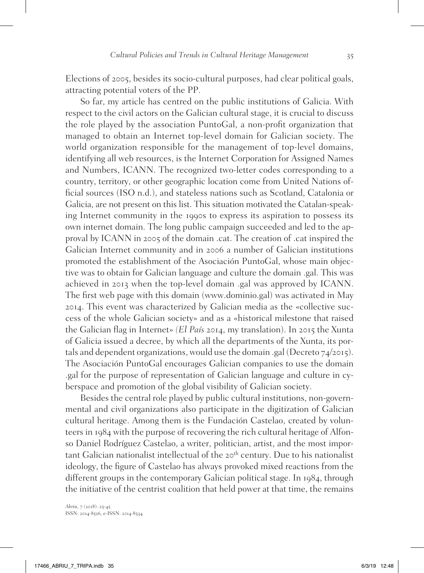Elections of 2005, besides its socio-cultural purposes, had clear political goals, attracting potential voters of the PP.

So far, my article has centred on the public institutions of Galicia. With respect to the civil actors on the Galician cultural stage, it is crucial to discuss the role played by the association PuntoGal, a non-profit organization that managed to obtain an Internet top-level domain for Galician society. The world organization responsible for the management of top-level domains, identifying all web resources, is the Internet Corporation for Assigned Names and Numbers, ICANN. The recognized two-letter codes corresponding to a country, territory, or other geographic location come from United Nations official sources (ISO n.d.), and stateless nations such as Scotland, Catalonia or Galicia, are not present on this list. This situation motivated the Catalan-speaking Internet community in the 1990s to express its aspiration to possess its own internet domain. The long public campaign succeeded and led to the approval by ICANN in 2005 of the domain .cat. The creation of .cat inspired the Galician Internet community and in 2006 a number of Galician institutions promoted the establishment of the Asociación PuntoGal, whose main objective was to obtain for Galician language and culture the domain .gal. This was achieved in 2013 when the top-level domain .gal was approved by ICANN. The first web page with this domain (www.dominio.gal) was activated in May 2014. This event was characterized by Galician media as the «collective success of the whole Galician society» and as a «historical milestone that raised the Galician flag in Internet» *(El País* 2014, my translation). In 2015 the Xunta of Galicia issued a decree, by which all the departments of the Xunta, its portals and dependent organizations, would use the domain .gal (Decreto 74/2015). The Asociación PuntoGal encourages Galician companies to use the domain .gal for the purpose of representation of Galician language and culture in cyberspace and promotion of the global visibility of Galician society.

Besides the central role played by public cultural institutions, non-governmental and civil organizations also participate in the digitization of Galician cultural heritage. Among them is the Fundación Castelao, created by volunteers in 1984 with the purpose of recovering the rich cultural heritage of Alfonso Daniel Rodríguez Castelao, a writer, politician, artist, and the most important Galician nationalist intellectual of the  $20<sup>th</sup>$  century. Due to his nationalist ideology, the figure of Castelao has always provoked mixed reactions from the different groups in the contemporary Galician political stage. In 1984, through the initiative of the centrist coalition that held power at that time, the remains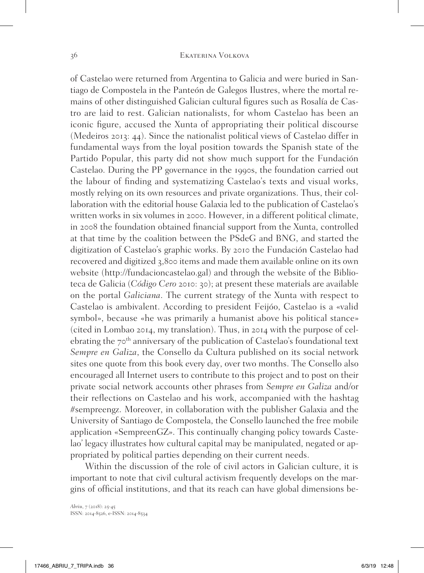of Castelao were returned from Argentina to Galicia and were buried in Santiago de Compostela in the Panteón de Galegos Ilustres, where the mortal remains of other distinguished Galician cultural figures such as Rosalía de Castro are laid to rest. Galician nationalists, for whom Castelao has been an iconic figure, accused the Xunta of appropriating their political discourse (Medeiros 2013: 44). Since the nationalist political views of Castelao differ in fundamental ways from the loyal position towards the Spanish state of the Partido Popular, this party did not show much support for the Fundación Castelao. During the PP governance in the 1990s, the foundation carried out the labour of finding and systematizing Castelao's texts and visual works, mostly relying on its own resources and private organizations. Thus, their collaboration with the editorial house Galaxia led to the publication of Castelao's written works in six volumes in 2000. However, in a different political climate, in 2008 the foundation obtained financial support from the Xunta, controlled at that time by the coalition between the PSdeG and BNG, and started the digitization of Castelao's graphic works. By 2010 the Fundación Castelao had recovered and digitized 3,800 items and made them available online on its own website (http://fundacioncastelao.gal) and through the website of the Biblioteca de Galicia (*Código Cero* 2010: 30); at present these materials are available on the portal *Galiciana*. The current strategy of the Xunta with respect to Castelao is ambivalent. According to president Feijóo, Castelao is a «valid symbol», because «he was primarily a humanist above his political stance» (cited in Lombao 2014, my translation). Thus, in 2014 with the purpose of celebrating the 70<sup>th</sup> anniversary of the publication of Castelao's foundational text *Sempre en Galiza*, the Consello da Cultura published on its social network sites one quote from this book every day, over two months. The Consello also encouraged all Internet users to contribute to this project and to post on their private social network accounts other phrases from *Sempre en Galiza* and/or their reflections on Castelao and his work, accompanied with the hashtag #sempreengz. Moreover, in collaboration with the publisher Galaxia and the University of Santiago de Compostela, the Consello launched the free mobile application «SempreenGZ». This continually changing policy towards Castelao' legacy illustrates how cultural capital may be manipulated, negated or appropriated by political parties depending on their current needs.

Within the discussion of the role of civil actors in Galician culture, it is important to note that civil cultural activism frequently develops on the margins of official institutions, and that its reach can have global dimensions be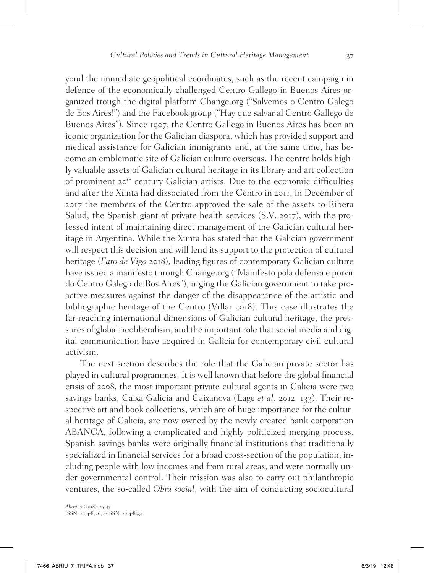yond the immediate geopolitical coordinates, such as the recent campaign in defence of the economically challenged Centro Gallego in Buenos Aires organized trough the digital platform Change.org ("Salvemos o Centro Galego de Bos Aires!") and the Facebook group ("Hay que salvar al Centro Gallego de Buenos Aires"). Since 1907, the Centro Gallego in Buenos Aires has been an iconic organization for the Galician diaspora, which has provided support and medical assistance for Galician immigrants and, at the same time, has become an emblematic site of Galician culture overseas. The centre holds highly valuable assets of Galician cultural heritage in its library and art collection of prominent 20th century Galician artists. Due to the economic difficulties and after the Xunta had dissociated from the Centro in 2011, in December of 2017 the members of the Centro approved the sale of the assets to Ribera Salud, the Spanish giant of private health services (S.V. 2017), with the professed intent of maintaining direct management of the Galician cultural heritage in Argentina. While the Xunta has stated that the Galician government will respect this decision and will lend its support to the protection of cultural heritage (*Faro de Vigo* 2018), leading figures of contemporary Galician culture have issued a manifesto through Change.org ("Manifesto pola defensa e porvir do Centro Galego de Bos Aires"), urging the Galician government to take proactive measures against the danger of the disappearance of the artistic and bibliographic heritage of the Centro (Villar 2018). This case illustrates the far-reaching international dimensions of Galician cultural heritage, the pressures of global neoliberalism, and the important role that social media and digital communication have acquired in Galicia for contemporary civil cultural activism.

The next section describes the role that the Galician private sector has played in cultural programmes. It is well known that before the global financial crisis of 2008, the most important private cultural agents in Galicia were two savings banks, Caixa Galicia and Caixanova (Lage *et al.* 2012: 133). Their respective art and book collections, which are of huge importance for the cultural heritage of Galicia, are now owned by the newly created bank corporation ABANCA, following a complicated and highly politicized merging process. Spanish savings banks were originally financial institutions that traditionally specialized in financial services for a broad cross-section of the population, including people with low incomes and from rural areas, and were normally under governmental control. Their mission was also to carry out philanthropic ventures, the so-called *Obra social*, with the aim of conducting sociocultural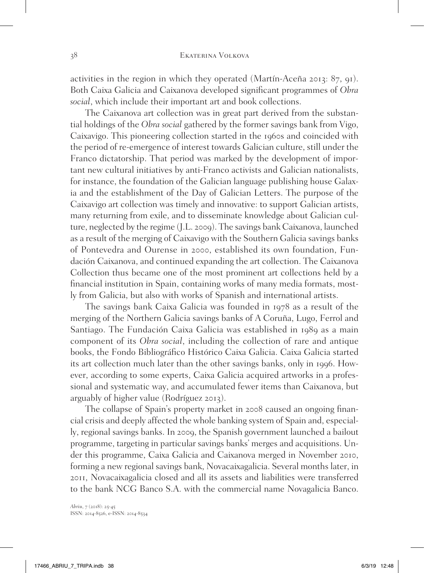activities in the region in which they operated (Martín-Aceña 2013: 87, 91). Both Caixa Galicia and Caixanova developed significant programmes of *Obra social*, which include their important art and book collections.

The Caixanova art collection was in great part derived from the substantial holdings of the *Obra social* gathered by the former savings bank from Vigo, Caixavigo. This pioneering collection started in the 1960s and coincided with the period of re-emergence of interest towards Galician culture, still under the Franco dictatorship. That period was marked by the development of important new cultural initiatives by anti-Franco activists and Galician nationalists, for instance, the foundation of the Galician language publishing house Galaxia and the establishment of the Day of Galician Letters. The purpose of the Caixavigo art collection was timely and innovative: to support Galician artists, many returning from exile, and to disseminate knowledge about Galician culture, neglected by the regime (J.L. 2009). The savings bank Caixanova, launched as a result of the merging of Caixavigo with the Southern Galicia savings banks of Pontevedra and Ourense in 2000, established its own foundation, Fundación Caixanova, and continued expanding the art collection. The Caixanova Collection thus became one of the most prominent art collections held by a financial institution in Spain, containing works of many media formats, mostly from Galicia, but also with works of Spanish and international artists.

The savings bank Caixa Galicia was founded in 1978 as a result of the merging of the Northern Galicia savings banks of A Coruña, Lugo, Ferrol and Santiago. The Fundación Caixa Galicia was established in 1989 as a main component of its *Obra social*, including the collection of rare and antique books, the Fondo Bibliográfico Histórico Caixa Galicia. Caixa Galicia started its art collection much later than the other savings banks, only in 1996. However, according to some experts, Caixa Galicia acquired artworks in a professional and systematic way, and accumulated fewer items than Caixanova, but arguably of higher value (Rodríguez 2013).

The collapse of Spain's property market in 2008 caused an ongoing financial crisis and deeply affected the whole banking system of Spain and, especially, regional savings banks. In 2009, the Spanish government launched a bailout programme, targeting in particular savings banks' merges and acquisitions. Under this programme, Caixa Galicia and Caixanova merged in November 2010, forming a new regional savings bank, Novacaixagalicia. Several months later, in 2011, Novacaixagalicia closed and all its assets and liabilities were transferred to the bank NCG Banco S.A. with the commercial name Novagalicia Banco.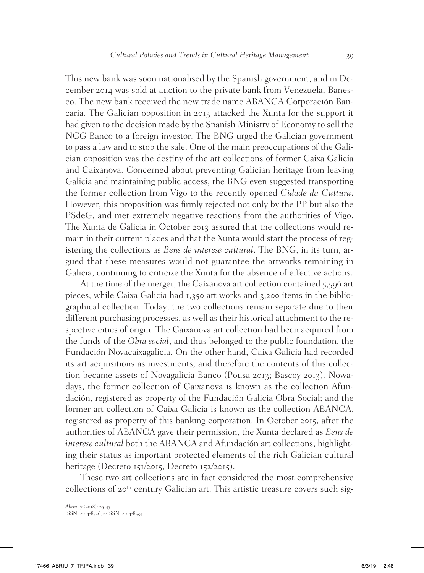This new bank was soon nationalised by the Spanish government, and in December 2014 was sold at auction to the private bank from Venezuela, Banesco. The new bank received the new trade name ABANCA Corporación Bancaria. The Galician opposition in 2013 attacked the Xunta for the support it had given to the decision made by the Spanish Ministry of Economy to sell the NCG Banco to a foreign investor. The BNG urged the Galician government to pass a law and to stop the sale. One of the main preoccupations of the Galician opposition was the destiny of the art collections of former Caixa Galicia and Caixanova. Concerned about preventing Galician heritage from leaving Galicia and maintaining public access, the BNG even suggested transporting the former collection from Vigo to the recently opened *Cidade da Cultura*. However, this proposition was firmly rejected not only by the PP but also the PSdeG, and met extremely negative reactions from the authorities of Vigo. The Xunta de Galicia in October 2013 assured that the collections would remain in their current places and that the Xunta would start the process of registering the collections as *Bens de interese cultural*. The BNG, in its turn, argued that these measures would not guarantee the artworks remaining in Galicia, continuing to criticize the Xunta for the absence of effective actions.

At the time of the merger, the Caixanova art collection contained 5,596 art pieces, while Caixa Galicia had 1,350 art works and 3,200 items in the bibliographical collection. Today, the two collections remain separate due to their different purchasing processes, as well as their historical attachment to the respective cities of origin. The Caixanova art collection had been acquired from the funds of the *Obra social*, and thus belonged to the public foundation, the Fundación Novacaixagalicia. On the other hand, Caixa Galicia had recorded its art acquisitions as investments, and therefore the contents of this collection became assets of Novagalicia Banco (Pousa 2013; Bascoy 2013). Nowadays, the former collection of Caixanova is known as the collection Afundación, registered as property of the Fundación Galicia Obra Social; and the former art collection of Caixa Galicia is known as the collection ABANCA, registered as property of this banking corporation. In October 2015, after the authorities of ABANCA gave their permission, the Xunta declared as *Bens de interese cultural* both the ABANCA and Afundación art collections, highlighting their status as important protected elements of the rich Galician cultural heritage (Decreto 151/2015, Decreto 152/2015).

These two art collections are in fact considered the most comprehensive collections of 20<sup>th</sup> century Galician art. This artistic treasure covers such sig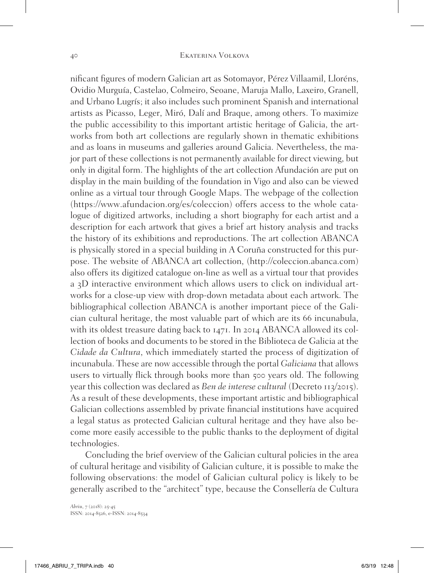nificant figures of modern Galician art as Sotomayor, Pérez Villaamil, Lloréns, Ovidio Murguía, Castelao, Colmeiro, Seoane, Maruja Mallo, Laxeiro, Granell, and Urbano Lugrís; it also includes such prominent Spanish and international artists as Picasso, Leger, Miró, Dalí and Braque, among others. To maximize the public accessibility to this important artistic heritage of Galicia, the artworks from both art collections are regularly shown in thematic exhibitions and as loans in museums and galleries around Galicia. Nevertheless, the major part of these collections is not permanently available for direct viewing, but only in digital form. The highlights of the art collection Afundación are put on display in the main building of the foundation in Vigo and also can be viewed online as a virtual tour through Google Maps. The webpage of the collection (https://www.afundacion.org/es/coleccion) offers access to the whole catalogue of digitized artworks, including a short biography for each artist and a description for each artwork that gives a brief art history analysis and tracks the history of its exhibitions and reproductions. The art collection ABANCA is physically stored in a special building in A Coruña constructed for this purpose. The website of ABANCA art collection, (http://coleccion.abanca.com) also offers its digitized catalogue on-line as well as a virtual tour that provides a 3D interactive environment which allows users to click on individual artworks for a close-up view with drop-down metadata about each artwork. The bibliographical collection ABANCA is another important piece of the Galician cultural heritage, the most valuable part of which are its 66 incunabula, with its oldest treasure dating back to 1471. In 2014 ABANCA allowed its collection of books and documents to be stored in the Biblioteca de Galicia at the *Cidade da Cultura*, which immediately started the process of digitization of incunabula. These are now accessible through the portal *Galiciana* that allows users to virtually flick through books more than 500 years old. The following year this collection was declared as *Ben de interese cultural* (Decreto 113/2015). As a result of these developments, these important artistic and bibliographical Galician collections assembled by private financial institutions have acquired a legal status as protected Galician cultural heritage and they have also become more easily accessible to the public thanks to the deployment of digital technologies.

Concluding the brief overview of the Galician cultural policies in the area of cultural heritage and visibility of Galician culture, it is possible to make the following observations: the model of Galician cultural policy is likely to be generally ascribed to the "architect" type, because the Consellería de Cultura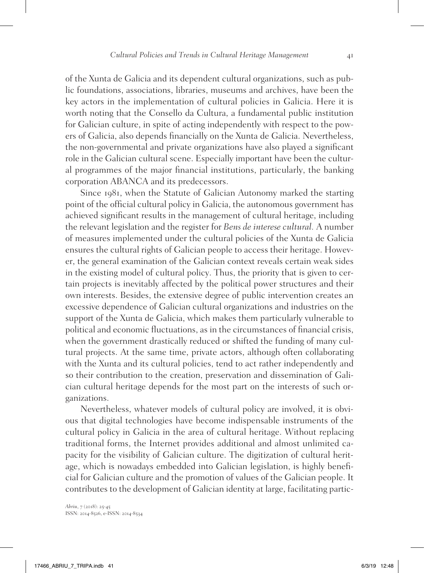of the Xunta de Galicia and its dependent cultural organizations, such as public foundations, associations, libraries, museums and archives, have been the key actors in the implementation of cultural policies in Galicia. Here it is worth noting that the Consello da Cultura, a fundamental public institution for Galician culture, in spite of acting independently with respect to the powers of Galicia, also depends financially on the Xunta de Galicia. Nevertheless, the non-governmental and private organizations have also played a significant role in the Galician cultural scene. Especially important have been the cultural programmes of the major financial institutions, particularly, the banking corporation ABANCA and its predecessors.

Since 1981, when the Statute of Galician Autonomy marked the starting point of the official cultural policy in Galicia, the autonomous government has achieved significant results in the management of cultural heritage, including the relevant legislation and the register for *Bens de interese cultural.* A number of measures implemented under the cultural policies of the Xunta de Galicia ensures the cultural rights of Galician people to access their heritage. However, the general examination of the Galician context reveals certain weak sides in the existing model of cultural policy. Thus, the priority that is given to certain projects is inevitably affected by the political power structures and their own interests. Besides, the extensive degree of public intervention creates an excessive dependence of Galician cultural organizations and industries on the support of the Xunta de Galicia, which makes them particularly vulnerable to political and economic fluctuations, as in the circumstances of financial crisis, when the government drastically reduced or shifted the funding of many cultural projects. At the same time, private actors, although often collaborating with the Xunta and its cultural policies, tend to act rather independently and so their contribution to the creation, preservation and dissemination of Galician cultural heritage depends for the most part on the interests of such organizations.

Nevertheless, whatever models of cultural policy are involved, it is obvious that digital technologies have become indispensable instruments of the cultural policy in Galicia in the area of cultural heritage. Without replacing traditional forms, the Internet provides additional and almost unlimited capacity for the visibility of Galician culture. The digitization of cultural heritage, which is nowadays embedded into Galician legislation, is highly beneficial for Galician culture and the promotion of values of the Galician people. It contributes to the development of Galician identity at large, facilitating partic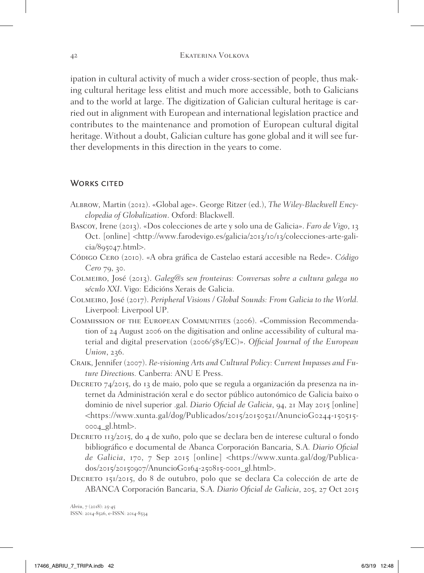ipation in cultural activity of much a wider cross-section of people, thus making cultural heritage less elitist and much more accessible, both to Galicians and to the world at large. The digitization of Galician cultural heritage is carried out in alignment with European and international legislation practice and contributes to the maintenance and promotion of European cultural digital heritage. Without a doubt, Galician culture has gone global and it will see further developments in this direction in the years to come.

## WORKS CITED

- Albrow, Martin (2012). «Global age». George Ritzer (ed.), *The Wiley-Blackwell Encyclopedia of Globalization*. Oxford: Blackwell.
- Bascoy, Irene (2013). «Dos colecciones de arte y solo una de Galicia». *Faro de Vigo*, 13 Oct. [online] <http://www.farodevigo.es/galicia/2013/10/13/colecciones-arte-gali $cia/895047.html$ .
- Código Cero (2010). «A obra gráfica de Castelao estará accesible na Rede». *Código Cero* 79, 30.
- Colmeiro, José (2013). *Galeg@s sen fronteiras: Conversas sobre a cultura galega no século XXI*. Vigo: Edicións Xerais de Galicia.
- Colmeiro, José (2017). *Peripheral Visions / Global Sounds: From Galicia to the World.* Liverpool: Liverpool UP.
- Commission of the European Communities (2006). «Commission Recommendation of 24 August 2006 on the digitisation and online accessibility of cultural material and digital preservation (2006/585/EC)». *Official Journal of the European Union*, 236.
- Craik, Jennifer (2007). *Re-visioning Arts and Cultural Policy: Current Impasses and Future Directions.* Canberra: ANU E Press.
- Decreto 74/2015, do 13 de maio, polo que se regula a organización da presenza na internet da Administración xeral e do sector público autonómico de Galicia baixo o dominio de nivel superior .gal. *Diario Oficial de Galicia*, 94, 21 May 2015 [online] <https://www.xunta.gal/dog/Publicados/2015/20150521/AnuncioG0244-150515- 0004\_gl.html>.
- DECRETO 113/2015, do 4 de xuño, polo que se declara ben de interese cultural o fondo bibliográfico e documental de Abanca Corporación Bancaria, S.A. *Diario Oficial de Galicia*, 170, 7 Sep 2015 [online] <https://www.xunta.gal/dog/Publicados/2015/20150907/AnuncioG0164-250815-0001\_gl.html>.
- DECRETO 151/2015, do 8 de outubro, polo que se declara Ca colección de arte de ABANCA Corporación Bancaria, S.A. *Diario Oficial de Galicia*, 205, 27 Oct 2015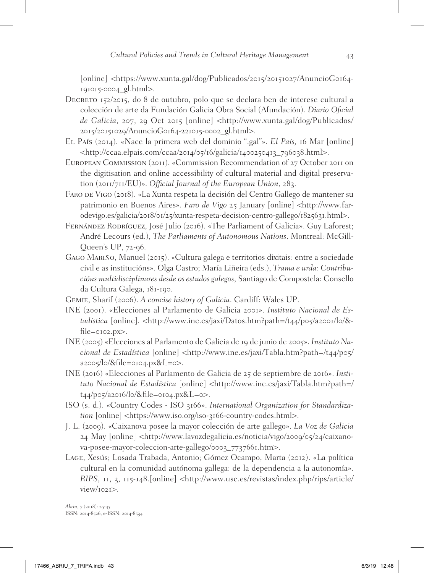[online] <https://www.xunta.gal/dog/Publicados/2015/20151027/AnuncioG0164- 191015-0004\_gl.html>.

- Decreto 152/2015, do 8 de outubro, polo que se declara ben de interese cultural a colección de arte da Fundación Galicia Obra Social (Afundación). *Diario Oficial de Galicia*, 207, 29 Oct 2015 [online] <http://www.xunta.gal/dog/Publicados/ 2015/20151029/AnuncioG0164-221015-0002\_gl.html>.
- El País (2014). «Nace la primera web del dominio ".gal"». *El País,* 16 Mar [online] <http://ccaa.elpais.com/ccaa/2014/05/16/galicia/1400250413\_796038.html>.
- European Commission (2011). «Commission Recommendation of 27 October 2011 on the digitisation and online accessibility of cultural material and digital preservation (2011/711/EU)». *Official Journal of the European Union*, 283.
- FARO DE VIGO (2018). «La Xunta respeta la decisión del Centro Gallego de mantener su patrimonio en Buenos Aires». *Faro de Vigo* 25 January [online] <http://www.farodevigo.es/galicia/2018/01/25/xunta-respeta-decision-centro-gallego/1825631.html>.
- Fernández Rodríguez, José Julio (2016). «The Parliament of Galicia». Guy Laforest; André Lecours (ed.), *The Parliaments of Autonomous Nations*. Montreal: McGill-Queen's UP, 72-96.
- Gago Mariño, Manuel (2015). «Cultura galega e territorios dixitais: entre a sociedade civil e as institucións». Olga Castro; María Liñeira (eds.), *Trama e urda: Contribucións multidisciplinares desde os estudos galegos*, Santiago de Compostela: Consello da Cultura Galega, 181-190.
- Gemie, Sharif (2006). *A concise history of Galicia*. Cardiff: Wales UP.
- INE (2001). «Elecciones al Parlamento de Galicia 2001». *Instituto Nacional de Estadística* [online]*. <*http://www.ine.es/jaxi/Datos.htm?path=/t44/p05/a2001/l0/&  $file = 0102.py$ .
- INE (2005) «Elecciones al Parlamento de Galicia de 19 de junio de 2005». *Instituto Nacional de Estadística* [online] <http://www.ine.es/jaxi/Tabla.htm?path=/t44/p05/ a2005/l0/&file=0104.px&L=0>.
- INE (2016) «Elecciones al Parlamento de Galicia de 25 de septiembre de 2016». *Instituto Nacional de Estadística* [online] <http://www.ine.es/jaxi/Tabla.htm?path=/  $t_{44}/p_{95}/a_{201}6/lo/8$ file=0104.px&L=0>.
- ISO (s. d.). «Country Codes ISO 3166». *International Organization for Standardization* [online] <https://www.iso.org/iso-3166-country-codes.html>.
- J. L. (2009). «Caixanova posee la mayor colección de arte gallego». *La Voz de Galicia* 24 May [online] <http://www.lavozdegalicia.es/noticia/vigo/2009/05/24/caixanova-posee-mayor-coleccion-arte-gallego/0003\_7737661.htm>.
- Lage, Xesús; Losada Trabada, Antonio; Gómez Ocampo, Marta (2012). «La política cultural en la comunidad autónoma gallega: de la dependencia a la autonomía». *RIPS,* 11, 3, 115-148.[online] <http://www.usc.es/revistas/index.php/rips/article/ view/1021>.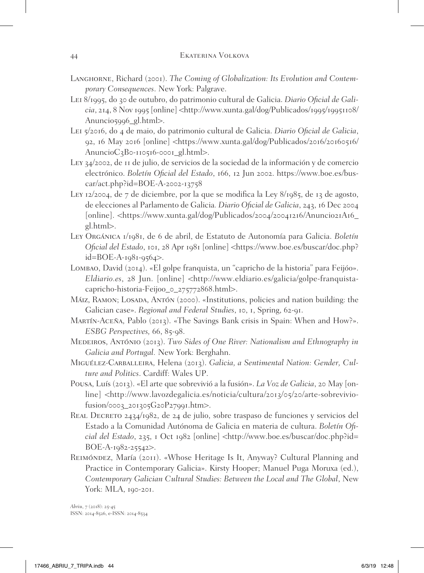- Langhorne, Richard (2001). *The Coming of Globalization: Its Evolution and Contemporary Consequences*. New York: Palgrave.
- Lei 8/1995, do 30 de outubro, do patrimonio cultural de Galicia. *Diario Oficial de Gali* $cia$ , 214, 8 Nov 1995 [online]  $\langle$ http://www.xunta.gal/dog/Publicados/1995/19951108/ Anuncio5996\_gl.html>.
- Lei 5/2016, do 4 de maio, do patrimonio cultural de Galicia. *Diario Oficial de Galicia*, 92, 16 May 2016 [online] <https://www.xunta.gal/dog/Publicados/2016/20160516/ AnuncioC3B0-110516-0001\_gl.html>.
- Ley 34/2002, de 11 de julio, de servicios de la sociedad de la información y de comercio electrónico. *Boletín Oficial del Estado*, 166, 12 Jun 2002. https://www.boe.es/buscar/act.php?id=BOE-A-2002-13758
- Ley 12/2004, de 7 de diciembre, por la que se modifica la Ley 8/1985, de 13 de agosto, de elecciones al Parlamento de Galicia*. Diario Oficial de Galicia*, 243, 16 Dec 2004 [online]. <https://www.xunta.gal/dog/Publicados/2004/20041216/Anuncio21A16\_ gl.html>.
- Ley Orgánica 1/1981, de 6 de abril, de Estatuto de Autonomía para Galicia. *Boletín Oficial del Estado*, 101, 28 Apr 1981 [online] <https://www.boe.es/buscar/doc.php? id=BOE-A-1981-9564>.
- Lombao, David (2014). «El golpe franquista, un "capricho de la historia" para Feijóo». *Eldiario.es*, 28 Jun. [online] <http://www.eldiario.es/galicia/golpe-franquistacapricho-historia-Feijoo\_0\_275772868.html>.
- Máiz, Ramon; Losada, Antón (2000). «Institutions, policies and nation building: the Galician case». *Regional and Federal Studies*, 10, 1, Spring, 62-91.
- Martín-Aceña, Pablo (2013). «The Savings Bank crisis in Spain: When and How?». *ESBG Perspectives,* 66, 85-98.
- Medeiros, António (2013). *Two Sides of One River: Nationalism and Ethnography in Galicia and Portugal.* New York: Berghahn.
- Miguélez-Carballeira, Helena (2013). *Galicia, a Sentimental Nation: Gender, Culture and Politics*. Cardiff: Wales UP.
- Pousa, Luís (2013). «El arte que sobrevivió a la fusión». *La Voz de Galicia*, 20 May [online] <http://www.lavozdegalicia.es/noticia/cultura/2013/05/20/arte-sobrevivio $fusion/0003$   $201305G20P27991.htm$
- Real Decreto 2434/1982, de 24 de julio, sobre traspaso de funciones y servicios del Estado a la Comunidad Autónoma de Galicia en materia de cultura. *Boletín Oficial del Estado*, 235, 1 Oct 1982 [online] <http://www.boe.es/buscar/doc.php?id= BOE-A-1982-25542>.
- Reimóndez, María (2011). «Whose Heritage Is It, Anyway? Cultural Planning and Practice in Contemporary Galicia». Kirsty Hooper; Manuel Puga Moruxa (ed.), *Contemporary Galician Cultural Studies: Between the Local and The Global*, New York: MLA, 190-201.